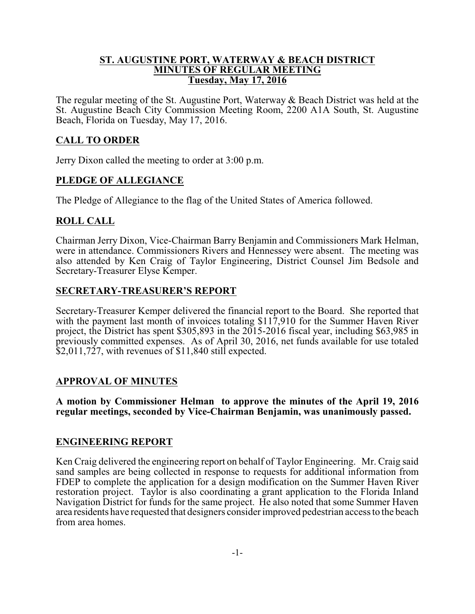#### **ST. AUGUSTINE PORT, WATERWAY & BEACH DISTRICT MINUTES OF REGULAR MEETING Tuesday, May 17, 2016**

The regular meeting of the St. Augustine Port, Waterway & Beach District was held at the St. Augustine Beach City Commission Meeting Room, 2200 A1A South, St. Augustine Beach, Florida on Tuesday, May 17, 2016.

## **CALL TO ORDER**

Jerry Dixon called the meeting to order at 3:00 p.m.

## **PLEDGE OF ALLEGIANCE**

The Pledge of Allegiance to the flag of the United States of America followed.

## **ROLL CALL**

Chairman Jerry Dixon, Vice-Chairman Barry Benjamin and Commissioners Mark Helman, were in attendance. Commissioners Rivers and Hennessey were absent. The meeting was also attended by Ken Craig of Taylor Engineering, District Counsel Jim Bedsole and Secretary-Treasurer Elyse Kemper.

## **SECRETARY-TREASURER'S REPORT**

Secretary-Treasurer Kemper delivered the financial report to the Board. She reported that with the payment last month of invoices totaling \$117,910 for the Summer Haven River project, the District has spent \$305,893 in the 2015-2016 fiscal year, including \$63,985 in previously committed expenses. As of April 30, 2016, net funds available for use totaled  $$2,011,727$ , with revenues of \$11,840 still expected.

### **APPROVAL OF MINUTES**

**A motion by Commissioner Helman to approve the minutes of the April 19, 2016 regular meetings, seconded by Vice-Chairman Benjamin, was unanimously passed.**

### **ENGINEERING REPORT**

Ken Craig delivered the engineering report on behalf of Taylor Engineering. Mr. Craig said sand samples are being collected in response to requests for additional information from FDEP to complete the application for a design modification on the Summer Haven River restoration project. Taylor is also coordinating a grant application to the Florida Inland Navigation District for funds for the same project. He also noted that some Summer Haven area residents have requested that designers consider improved pedestrian access to the beach from area homes.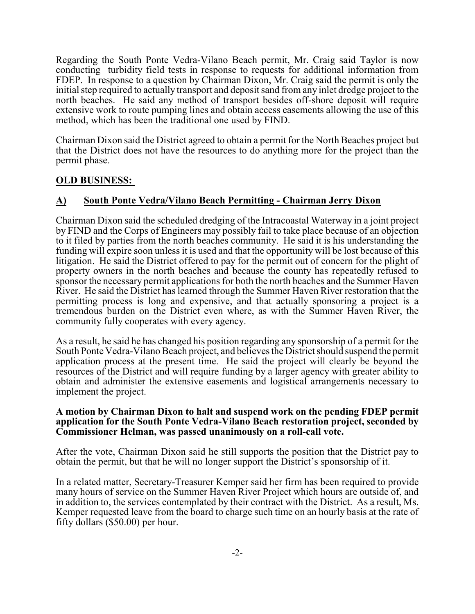Regarding the South Ponte Vedra-Vilano Beach permit, Mr. Craig said Taylor is now conducting turbidity field tests in response to requests for additional information from FDEP. In response to a question by Chairman Dixon, Mr. Craig said the permit is only the initial step required to actually transport and deposit sand from any inlet dredge project to the north beaches. He said any method of transport besides off-shore deposit will require extensive work to route pumping lines and obtain access easements allowing the use of this method, which has been the traditional one used by FIND.

Chairman Dixon said the District agreed to obtain a permit for the North Beaches project but that the District does not have the resources to do anything more for the project than the permit phase.

# **OLD BUSINESS:**

# **A) South Ponte Vedra/Vilano Beach Permitting - Chairman Jerry Dixon**

Chairman Dixon said the scheduled dredging of the Intracoastal Waterway in a joint project by FIND and the Corps of Engineers may possibly fail to take place because of an objection to it filed by parties from the north beaches community. He said it is his understanding the funding will expire soon unless it is used and that the opportunity will be lost because of this litigation. He said the District offered to pay for the permit out of concern for the plight of property owners in the north beaches and because the county has repeatedly refused to sponsor the necessary permit applications for both the north beaches and the Summer Haven River. He said the District has learned through the Summer Haven River restoration that the permitting process is long and expensive, and that actually sponsoring a project is a tremendous burden on the District even where, as with the Summer Haven River, the community fully cooperates with every agency.

As a result, he said he has changed his position regarding any sponsorship of a permit for the South Ponte Vedra-Vilano Beach project, and believes the District should suspend the permit application process at the present time. He said the project will clearly be beyond the resources of the District and will require funding by a larger agency with greater ability to obtain and administer the extensive easements and logistical arrangements necessary to implement the project.

#### **A motion by Chairman Dixon to halt and suspend work on the pending FDEP permit application for the South Ponte Vedra-Vilano Beach restoration project, seconded by Commissioner Helman, was passed unanimously on a roll-call vote.**

After the vote, Chairman Dixon said he still supports the position that the District pay to obtain the permit, but that he will no longer support the District's sponsorship of it.

In a related matter, Secretary-Treasurer Kemper said her firm has been required to provide many hours of service on the Summer Haven River Project which hours are outside of, and in addition to, the services contemplated by their contract with the District. As a result, Ms. Kemper requested leave from the board to charge such time on an hourly basis at the rate of fifty dollars (\$50.00) per hour.